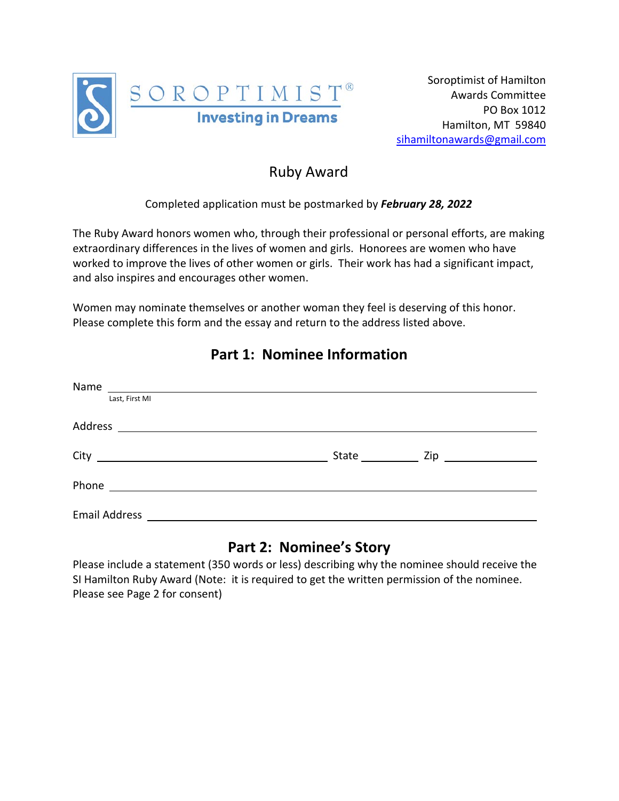

# Ruby Award

#### Completed application must be postmarked by *February 28, 2022*

The Ruby Award honors women who, through their professional or personal efforts, are making extraordinary differences in the lives of women and girls. Honorees are women who have worked to improve the lives of other women or girls. Their work has had a significant impact, and also inspires and encourages other women.

Women may nominate themselves or another woman they feel is deserving of this honor. Please complete this form and the essay and return to the address listed above.

| Name<br><u> 1989 - Andrea State Barbara, amerikan personal di sebagai personal di sebagai personal di sebagai personal d</u> |              |                                   |  |
|------------------------------------------------------------------------------------------------------------------------------|--------------|-----------------------------------|--|
| Last, First MI                                                                                                               |              |                                   |  |
| Address<br><u> 1989 - Andrea Brand, amerikansk politik (</u>                                                                 |              |                                   |  |
|                                                                                                                              | State $\_\_$ | Zip <u>______________________</u> |  |
| Phone<br><u> 1989 - Andrea Station Barbara, amerikan per</u>                                                                 |              |                                   |  |
| <b>Email Address</b>                                                                                                         |              |                                   |  |

## **Part 1: Nominee Information**

## **Part 2: Nominee's Story**

Please include a statement (350 words or less) describing why the nominee should receive the SI Hamilton Ruby Award (Note: it is required to get the written permission of the nominee. Please see Page 2 for consent)